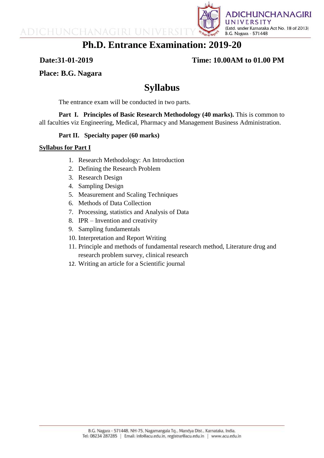

# **Ph.D. Entrance Examination: 2019-20**

## **Date:31-01-2019 Time: 10.00AM to 01.00 PM**

**Place: B.G. Nagara**

# **Syllabus**

The entrance exam will be conducted in two parts.

Part I. Principles of Basic Research Methodology (40 marks). This is common to all faculties viz Engineering, Medical, Pharmacy and Management Business Administration.

## **Part II. Specialty paper (60 marks)**

### **Syllabus for Part I**

- 1. Research Methodology: An Introduction
- 2. Defining the Research Problem
- 3. Research Design

ADICHUNCHANAGIRI UNIVER

- 4. Sampling Design
- 5. Measurement and Scaling Techniques
- 6. Methods of Data Collection
- 7. Processing, statistics and Analysis of Data
- 8. IPR Invention and creativity
- 9. Sampling fundamentals
- 10. Interpretation and Report Writing
- 11. Principle and methods of fundamental research method, Literature drug and research problem survey, clinical research
- 12. Writing an article for a Scientific journal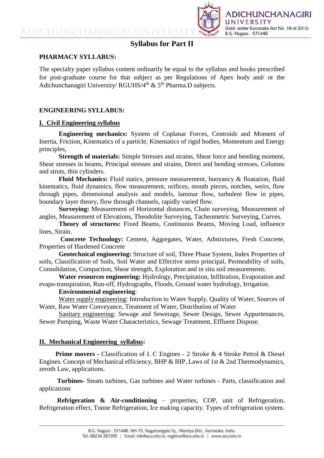ADICHUNCHANAGIRI UN



# **Syllabus for Part II**

#### **PHARMACY SYLLABUS:**

The specialty paper syllabus content ordinarily be equal to the syllabus and books prescribed for post-graduate course for that subject as per Regulations of Apex body and/ or the Adichunchanagiri University/ RGUHS/4<sup>th</sup> &  $5<sup>th</sup>$  Pharma.D subjects.

#### **ENGINEERING SYLLABUS:**

#### **I. Civil Engineering syllabus**

**Engineering mechanics:** System of Coplanar Forces, Centroids and Moment of Inertia, Friction, Kinematics of a particle, Kinematics of rigid bodies, Momentum and Energy principles,

**Strength of materials:** Simple Stresses and strains, Shear force and bending moment, Shear stresses in beams, Principal stresses and strains, Direct and bending stresses, Columns and struts, thin cylinders.

**Fluid Mechanics:** Fluid statics, pressure measurement, buoyancy & floatation, fluid kinematics, fluid dynamics, flow measurement, orifices, mouth pieces, notches, weirs, flow through pipes, dimensional analysis and models, laminar flow, turbulent flow in pipes, boundary layer theory, flow through channels, rapidly varied flow.

**Surveying:** Measurement of Horizontal distances, Chain surveying, Measurement of angles, Measurement of Elevations, Theodolite Surveying, Tacheometric Surveying, Curves.

**Theory of structures:** Fixed Beams, Continuous Beams, Moving Load, influence lines, Strain.

**Concrete Technology:** Cement, Aggregates, Water, Admixtures, Fresh Concrete, Properties of Hardened Concrete

**Geotechnical engineering:** Structure of soil, Three Phase System, Index Properties of soils, Classification of Soils, Soil Water and Effective stress principal, Permeability of soils, Consolidation, Compaction, Shear strength, Exploration and in situ soil measurements.

**Water resources engineering:** Hydrology, Precipitation, Infiltration, Evaporation and evapo-transpiration, Run-off, Hydrographs, Floods, Ground water hydrology, Irrigation.

#### **Environmental engineering**:

Water supply engineering: Introduction to Water Supply, Quality of Water, Sources of Water, Raw Water Conveyance, Treatment of Water, Distribution of Water

Sanitary engineering: Sewage and Sewerage, Sewer Design, Sewer Appurtenances, Sewer Pumping, Waste Water Characteristics, Sewage Treatment, Effluent Dispose.

#### **II. Mechanical Engineering syllabus:**

**Prime movers -** Classification of I. C Engines - 2 Stroke & 4 Stroke Petrol & Diesel Engines. Concept of Mechanical efficiency, BHP & IHP, Laws of 1st & 2nd Thermodynamics, zeroth Law, applications.

 **Turbines-** Steam turbines, Gas turbines and Water turbines - Parts, classification and applications

 **Refrigeration & Air-conditioning** – properties, COP, unit of Refrigeration, Refrigeration effect, Tonne Refrigeration, Ice making capacity. Types of refrigeration system.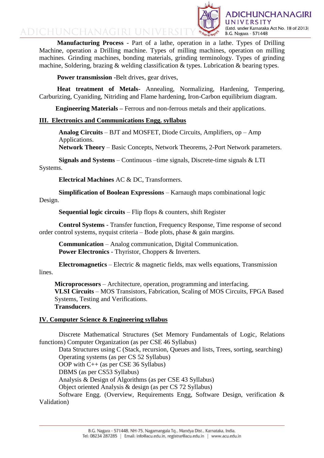

ADICHUNCHANAGIRI UNIVER

 **Manufacturing Process** - Part of a lathe, operation in a lathe. Types of Drilling Machine, operation a Drilling machine. Types of milling machines, operation on milling machines. Grinding machines, bonding materials, grinding terminology. Types of grinding machine, Soldering, brazing & welding classification & types. Lubrication & bearing types.

**Power transmission -Belt drives, gear drives,** 

 **Heat treatment of Metals**- Annealing, Normalizing, Hardening, Tempering, Carburizing, Cyaniding, Nitriding and Flame hardening, Iron-Carbon equilibrium diagram.

 **Engineering Materials –** Ferrous and non-ferrous metals and their applications.

#### **III. Electronics and Communications Engg. syllabus**

**Analog Circuits** – BJT and MOSFET, Diode Circuits, Amplifiers, op – Amp Applications.

**Network Theory** – Basic Concepts, Network Theorems, 2-Port Network parameters.

 **Signals and Systems** – Continuous –time signals, Discrete-time signals & LTI Systems.

**Electrical Machines** AC & DC, Transformers.

 **Simplification of Boolean Expressions** – Karnaugh maps combinational logic Design.

**Sequential logic circuits** – Flip flops & counters, shift Register

 **Control Systems** - Transfer function, Frequency Response, Time response of second order control systems, nyquist criteria – Bode plots, phase & gain margins.

**Communication** – Analog communication, Digital Communication. **Power Electronics** - Thyristor, Choppers & Inverters.

 **Electromagnetics** – Electric & magnetic fields, max wells equations, Transmission lines.

**Microprocessors** – Architecture, operation, programming and interfacing. **VLSI Circuits** – MOS Transistors, Fabrication, Scaling of MOS Circuits, FPGA Based Systems, Testing and Verifications. **Transducers**.

#### **IV. Computer Science & Engineering syllabus**

Discrete Mathematical Structures (Set Memory Fundamentals of Logic, Relations functions) Computer Organization (as per CSE 46 Syllabus)

Data Structures using C (Stack, recursion, Queues and lists, Trees, sorting, searching)

Operating systems (as per CS 52 Syllabus)

OOP with C++ (as per CSE 36 Syllabus)

DBMS (as per CS53 Syllabus)

Analysis & Design of Algorithms (as per CSE 43 Syllabus)

Object oriented Analysis & design (as per CS 72 Syllabus)

Software Engg. (Overview, Requirements Engg, Software Design, verification & Validation)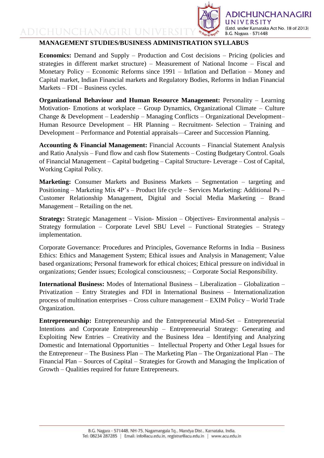

# ADICHUNCHANAGIRI UNI **MANAGEMENT STUDIES/BUSINESS ADMINISTRATION SYLLABUS**

**Economics:** Demand and Supply – Production and Cost decisions – Pricing (policies and strategies in different market structure) – Measurement of National Income – Fiscal and Monetary Policy – Economic Reforms since 1991 – Inflation and Deflation – Money and Capital market, Indian Financial markets and Regulatory Bodies, Reforms in Indian Financial Markets – FDI – Business cycles.

**Organizational Behaviour and Human Resource Management:** Personality – Learning Motivation- Emotions at workplace – Group Dynamics, Organizational Climate – Culture Change & Development – Leadership – Managing Conflicts – Organizational Development– Human Resource Development – HR Planning – Recruitment- Selection – Training and Development – Performance and Potential appraisals—Career and Succession Planning.

**Accounting & Financial Management:** Financial Accounts – Financial Statement Analysis and Ratio Analysis – Fund flow and cash flow Statements – Costing Budgetary Control. Goals of Financial Management – Capital budgeting – Capital Structure- Leverage – Cost of Capital, Working Capital Policy.

**Marketing:** Consumer Markets and Business Markets – Segmentation – targeting and Positioning – Marketing Mix 4P's – Product life cycle – Services Marketing: Additional Ps – Customer Relationship Management, Digital and Social Media Marketing – Brand Management – Retailing on the net.

**Strategy:** Strategic Management – Vision- Mission – Objectives- Environmental analysis – Strategy formulation – Corporate Level SBU Level – Functional Strategies – Strategy implementation.

Corporate Governance: Procedures and Principles, Governance Reforms in India – Business Ethics: Ethics and Management System; Ethical issues and Analysis in Management; Value based organizations; Personal framework for ethical choices; Ethical pressure on individual in organizations; Gender issues; Ecological consciousness; – Corporate Social Responsibility.

**International Business:** Modes of International Business – Liberalization – Globalization – Privatization – Entry Strategies and FDI in International Business – Internationalization process of multination enterprises – Cross culture management – EXIM Policy – World Trade Organization.

**Entrepreneurship:** Entrepreneurship and the Entrepreneurial Mind-Set – Entrepreneurial Intentions and Corporate Entrepreneurship – Entrepreneurial Strategy: Generating and Exploiting New Entries – Creativity and the Business Idea – Identifying and Analyzing Domestic and International Opportunities – Intellectual Property and Other Legal Issues for the Entrepreneur – The Business Plan – The Marketing Plan – The Organizational Plan – The Financial Plan – Sources of Capital – Strategies for Growth and Managing the Implication of Growth – Qualities required for future Entrepreneurs.